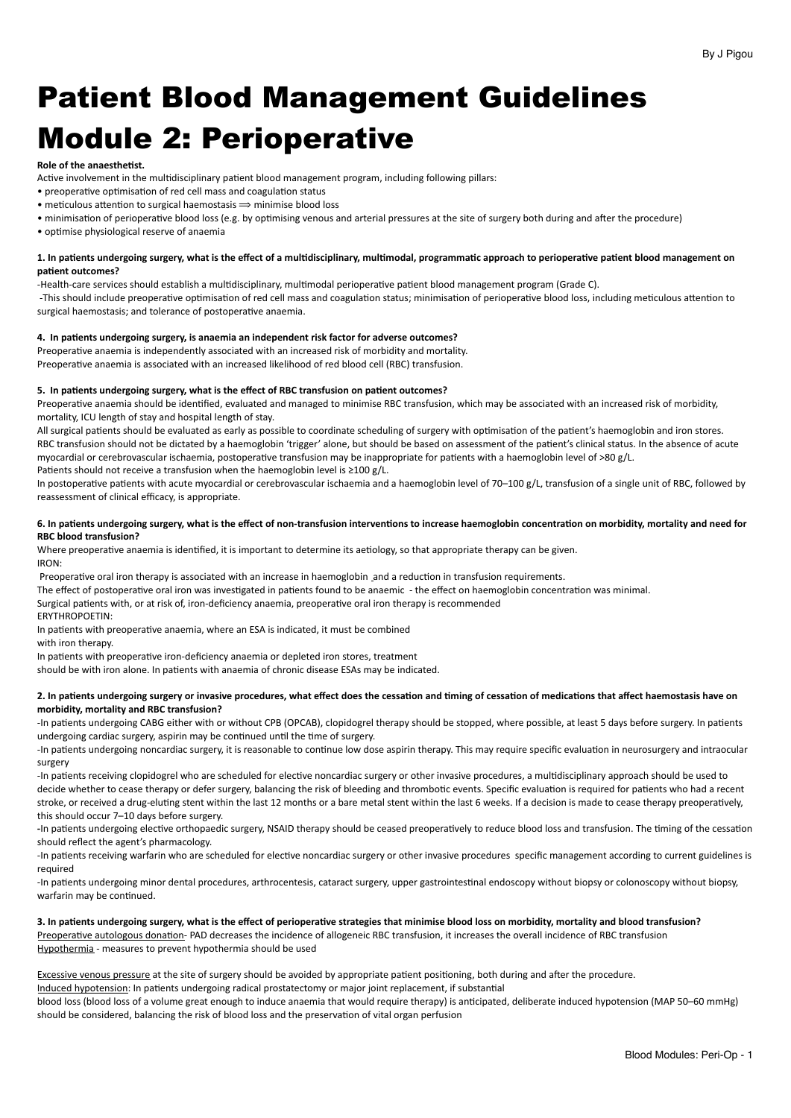# Patient Blood Management Guidelines Module 2: Perioperative

#### **Role of the anaesthetist.**

Active involvement in the multidisciplinary patient blood management program, including following pillars:

- preoperative optimisation of red cell mass and coagulation status
- meticulous attention to surgical haemostasis  $\Rightarrow$  minimise blood loss
- minimisation of perioperative blood loss (e.g. by optimising venous and arterial pressures at the site of surgery both during and after the procedure)
- optimise physiological reserve of anaemia

# 1. In patients undergoing surgery, what is the effect of a multidisciplinary, multimodal, programmatic approach to perioperative patient blood management on patient outcomes?

-Health-care services should establish a multidisciplinary, multimodal perioperative patient blood management program (Grade C).

-This should include preoperative optimisation of red cell mass and coagulation status; minimisation of perioperative blood loss, including meticulous attention to surgical haemostasis; and tolerance of postoperative anaemia.

#### 4. In patients undergoing surgery, is anaemia an independent risk factor for adverse outcomes?

Preoperative anaemia is independently associated with an increased risk of morbidity and mortality. Preoperative anaemia is associated with an increased likelihood of red blood cell (RBC) transfusion.

#### 5. In patients undergoing surgery, what is the effect of RBC transfusion on patient outcomes?

Preoperative anaemia should be identified, evaluated and managed to minimise RBC transfusion, which may be associated with an increased risk of morbidity, mortality, ICU length of stay and hospital length of stay.

All surgical patients should be evaluated as early as possible to coordinate scheduling of surgery with optimisation of the patient's haemoglobin and iron stores. RBC transfusion should not be dictated by a haemoglobin 'trigger' alone, but should be based on assessment of the patient's clinical status. In the absence of acute myocardial or cerebrovascular ischaemia, postoperative transfusion may be inappropriate for patients with a haemoglobin level of >80 g/L.

Patients should not receive a transfusion when the haemoglobin level is  $\geq 100$  g/L.

In postoperative patients with acute myocardial or cerebrovascular ischaemia and a haemoglobin level of 70–100 g/L, transfusion of a single unit of RBC, followed by reassessment of clinical efficacy, is appropriate.

## 6. In patients undergoing surgery, what is the effect of non-transfusion interventions to increase haemoglobin concentration on morbidity, mortality and need for **RBC** blood transfusion?

Where preoperative anaemia is identified, it is important to determine its aetiology, so that appropriate therapy can be given. IRON: 

Preoperative oral iron therapy is associated with an increase in haemoglobin and a reduction in transfusion requirements.

The effect of postoperative oral iron was investigated in patients found to be anaemic - the effect on haemoglobin concentration was minimal.

Surgical patients with, or at risk of, iron-deficiency anaemia, preoperative oral iron therapy is recommended

ERYTHROPOETIN: 

In patients with preoperative anaemia, where an ESA is indicated, it must be combined

with iron therapy.

In patients with preoperative iron-deficiency anaemia or depleted iron stores, treatment

should be with iron alone. In patients with anaemia of chronic disease ESAs may be indicated.

### 2. In patients undergoing surgery or invasive procedures, what effect does the cessation and timing of cessation of medications that affect haemostasis have on morbidity, mortality and RBC transfusion?

-In patients undergoing CABG either with or without CPB (OPCAB), clopidogrel therapy should be stopped, where possible, at least 5 days before surgery. In patients undergoing cardiac surgery, aspirin may be continued until the time of surgery.

-In patients undergoing noncardiac surgery, it is reasonable to continue low dose aspirin therapy. This may require specific evaluation in neurosurgery and intraocular surgery 

-In patients receiving clopidogrel who are scheduled for elective noncardiac surgery or other invasive procedures, a multidisciplinary approach should be used to decide whether to cease therapy or defer surgery, balancing the risk of bleeding and thrombotic events. Specific evaluation is required for patients who had a recent stroke, or received a drug-eluting stent within the last 12 months or a bare metal stent within the last 6 weeks. If a decision is made to cease therapy preoperatively, this should occur 7-10 days before surgery.

-In patients undergoing elective orthopaedic surgery, NSAID therapy should be ceased preoperatively to reduce blood loss and transfusion. The timing of the cessation should reflect the agent's pharmacology.

-In patients receiving warfarin who are scheduled for elective noncardiac surgery or other invasive procedures specific management according to current guidelines is required 

-In patients undergoing minor dental procedures, arthrocentesis, cataract surgery, upper gastrointestinal endoscopy without biopsy or colonoscopy without biopsy, warfarin may be continued.

### 3. In patients undergoing surgery, what is the effect of perioperative strategies that minimise blood loss on morbidity, mortality and blood transfusion? Preoperative autologous donationPAD
decreases the dialogenes of allogeneic RBC transfusion, it increases the overall incidence of RBC transfusion

Hypothermia - measures to prevent hypothermia should be used

Excessive venous pressure at the site of surgery should be avoided by appropriate patient positioning, both during and after the procedure. Induced bypotension: In patients undergoing radical prostatectomy or major joint replacement, if substantial

blood loss (blood loss of a volume great enough to induce anaemia that would require therapy) is anticipated, deliberate induced hypotension (MAP 50-60 mmHg) should be considered, balancing the risk of blood loss and the preservation of vital organ perfusion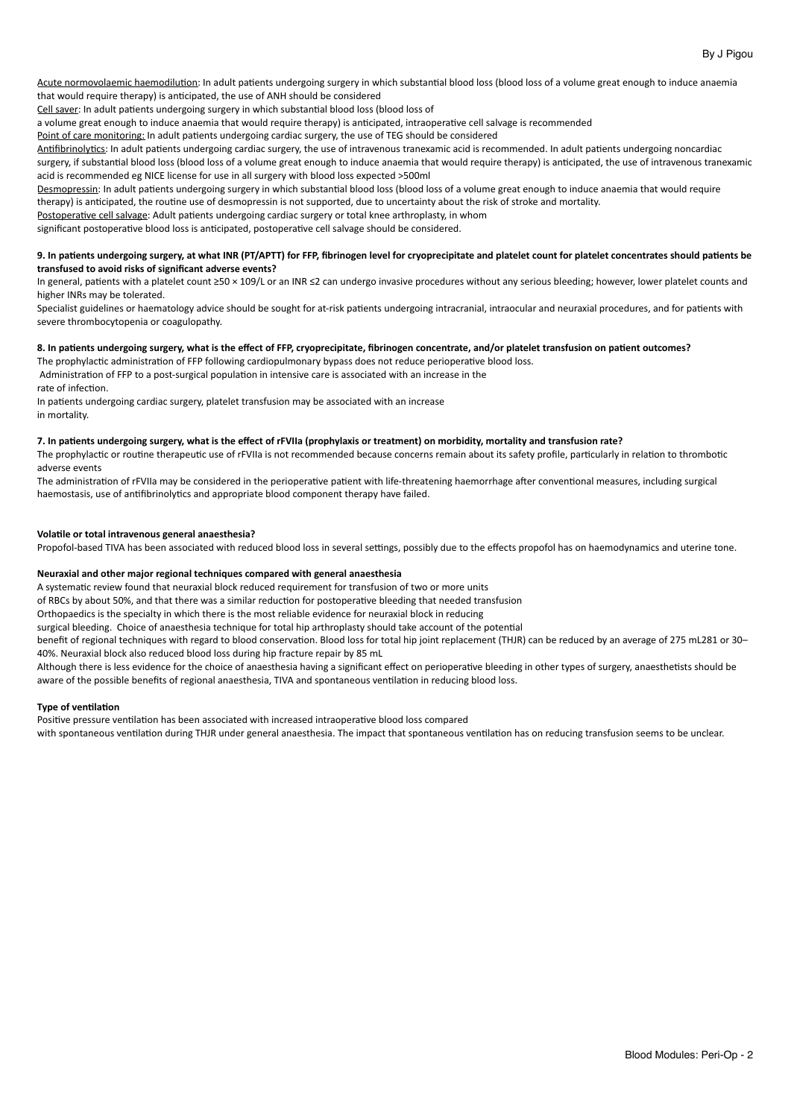Acute normovolaemic haemodilution: In adult patients undergoing surgery in which substantial blood loss (blood loss of a volume great enough to induce anaemia that would require therapy) is anticipated, the use of ANH should be considered

Cell saver: In adult patients undergoing surgery in which substantial blood loss (blood loss of

a volume great enough to induce anaemia that would require therapy) is anticipated, intraoperative cell salvage is recommended

Point of care monitoring: In adult patients undergoing cardiac surgery, the use of TEG should be considered

Antifibrinolytics: In adult patients undergoing cardiac surgery, the use of intravenous tranexamic acid is recommended. In adult patients undergoing noncardiac surgery, if substantial blood loss (blood loss of a volume great enough to induce anaemia that would require therapy) is anticipated, the use of intravenous tranexamic

acid is recommended eg NICE license for use in all surgery with blood loss expected >500ml

Desmopressin: In adult patients undergoing surgery in which substantial blood loss (blood loss of a volume great enough to induce anaemia that would require therapy) is anticipated, the routine use of desmopressin is not supported, due to uncertainty about the risk of stroke and mortality.

Postoperative cell salvage: Adult patients undergoing cardiac surgery or total knee arthroplasty, in whom

significant postoperative blood loss is anticipated, postoperative cell salvage should be considered.

## 9. In patients undergoing surgery, at what INR (PT/APTT) for FFP, fibrinogen level for cryoprecipitate and platelet count for platelet concentrates should patients be transfused to avoid risks of significant adverse events?

In general, patients with a platelet count ≥50 × 109/L or an INR ≤2 can undergo invasive procedures without any serious bleeding; however, lower platelet counts and higher INRs may be tolerated.

Specialist guidelines or haematology advice should be sought for at-risk patients undergoing intracranial, intraocular and neuraxial procedures, and for patients with severe thrombocytopenia or coagulopathy.

# 8. In patients undergoing surgery, what is the effect of FFP, cryoprecipitate, fibrinogen concentrate, and/or platelet transfusion on patient outcomes?

The prophylactic administration of FFP following cardiopulmonary bypass does not reduce perioperative blood loss.

Administration of FFP to a post-surgical population in intensive care is associated with an increase in the rate of infection.

In patients undergoing cardiac surgery, platelet transfusion may be associated with an increase in mortality.

# 7. In patients undergoing surgery, what is the effect of rFVIIa (prophylaxis or treatment) on morbidity, mortality and transfusion rate?

The prophylactic or routine therapeutic use of rFVIIa is not recommended because concerns remain about its safety profile, particularly in relation to thrombotic adverse events

The administration of rFVIIa may be considered in the perioperative patient with life-threatening haemorrhage after conventional measures, including surgical haemostasis, use of antifibrinolytics and appropriate blood component therapy have failed.

# Volatile or total intravenous general anaesthesia?

Propofol-based TIVA has been associated with reduced blood loss in several settings, possibly due to the effects propofol has on haemodynamics and uterine tone.

# Neuraxial and other major regional techniques compared with general anaesthesia

A systematic review found that neuraxial block reduced requirement for transfusion of two or more units

of RBCs by about 50%, and that there was a similar reduction for postoperative bleeding that needed transfusion

Orthopaedics is the specialty in which there is the most reliable evidence for neuraxial block in reducing

surgical bleeding. Choice of anaesthesia technique for total hip arthroplasty should take account of the potential

benefit of regional techniques with regard to blood conservation. Blood loss for total hip joint replacement (THJR) can be reduced by an average of 275 mL281 or 30-40%. Neuraxial block also reduced blood loss during hip fracture repair by 85 mL

Although there is less evidence for the choice of anaesthesia having a significant effect on perioperative bleeding in other types of surgery, anaesthetists should be aware of the possible benefits of regional anaesthesia, TIVA and spontaneous ventilation in reducing blood loss.

# **Type of ventilation**

Positive pressure ventilation has been associated with increased intraoperative blood loss compared

with spontaneous ventilation during THJR under general anaesthesia. The impact that spontaneous ventilation has on reducing transfusion seems to be unclear.